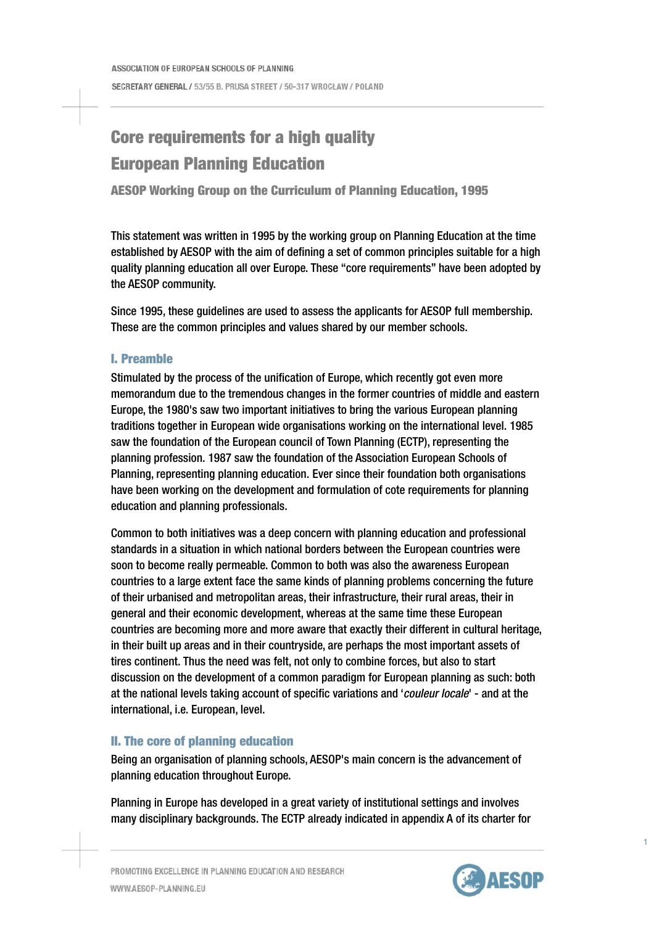# Core requirements for a high quality European Planning Education

AESOP Working Group on the Curriculum of Planning Education, 1995

This statement was written in 1995 by the working group on Planning Education at the time established by AESOP with the aim of defining a set of common principles suitable for a high quality planning education all over Europe. These "core requirements" have been adopted by the AESOP community.

Since 1995, these guidelines are used to assess the applicants for AESOP full membership. These are the common principles and values shared by our member schools.

## I. Preamble

Stimulated by the process of the unification of Europe, which recently got even more memorandum due to the tremendous changes in the former countries of middle and eastern Europe, the 1980's saw two important initiatives to bring the various European planning traditions together in European wide organisations working on the international level. 1985 saw the foundation of the European council of Town Planning (ECTP), representing the planning profession. 1987 saw the foundation of the Association European Schools of Planning, representing planning education. Ever since their foundation both organisations have been working on the development and formulation of cote requirements for planning education and planning professionals.

Common to both initiatives was a deep concern with planning education and professional standards in a situation in which national borders between the European countries were soon to become really permeable. Common to both was also the awareness European countries to a large extent face the same kinds of planning problems concerning the future of their urbanised and metropolitan areas, their infrastructure, their rural areas, their in general and their economic development, whereas at the same time these European countries are becoming more and more aware that exactly their different in cultural heritage, in their built up areas and in their countryside, are perhaps the most important assets of tires continent. Thus the need was felt, not only to combine forces, but also to start discussion on the development of a common paradigm for European planning as such: both at the national levels taking account of specific variations and '*couleur locale*' - and at the international, i.e. European, level.

# II. The core of planning education

Being an organisation of planning schools, AESOP's main concern is the advancement of planning education throughout Europe.

Planning in Europe has developed in a great variety of institutional settings and involves many disciplinary backgrounds. The ECTP already indicated in appendix A of its charter for



1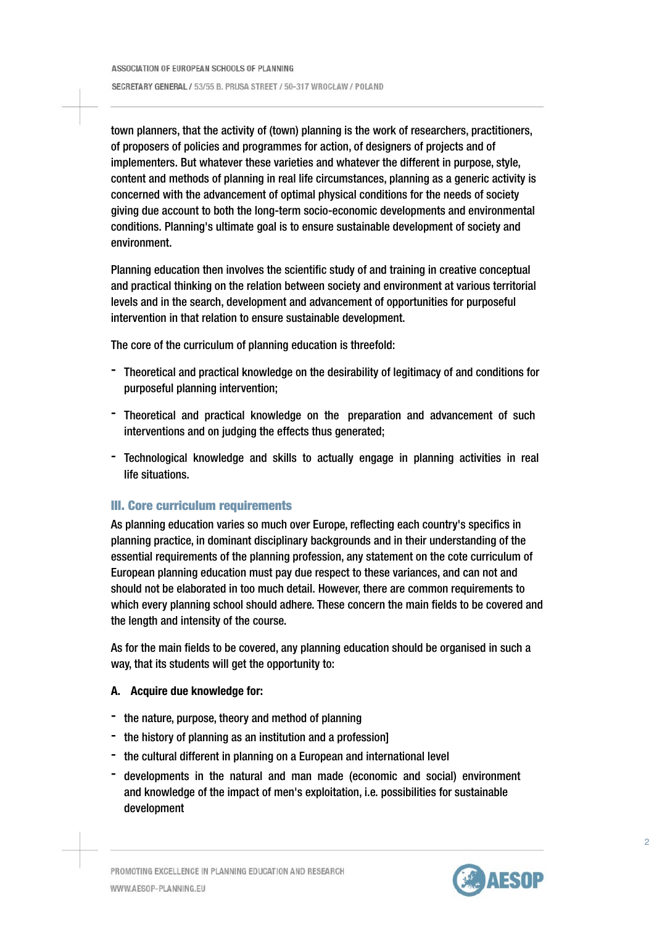town planners, that the activity of (town) planning is the work of researchers, practitioners, of proposers of policies and programmes for action, of designers of projects and of implementers. But whatever these varieties and whatever the different in purpose, style, content and methods of planning in real life circumstances, planning as a generic activity is concerned with the advancement of optimal physical conditions for the needs of society giving due account to both the long-term socio-economic developments and environmental conditions. Planning's ultimate goal is to ensure sustainable development of society and environment.

Planning education then involves the scientific study of and training in creative conceptual and practical thinking on the relation between society and environment at various territorial levels and in the search, development and advancement of opportunities for purposeful intervention in that relation to ensure sustainable development.

The core of the curriculum of planning education is threefold:

- Theoretical and practical knowledge on the desirability of legitimacy of and conditions for purposeful planning intervention;
- Theoretical and practical knowledge on the preparation and advancement of such interventions and on judging the effects thus generated;
- Technological knowledge and skills to actually engage in planning activities in real life situations.

### III. Core curriculum requirements

As planning education varies so much over Europe, reflecting each country's specifics in planning practice, in dominant disciplinary backgrounds and in their understanding of the essential requirements of the planning profession, any statement on the cote curriculum of European planning education must pay due respect to these variances, and can not and should not be elaborated in too much detail. However, there are common requirements to which every planning school should adhere. These concern the main fields to be covered and the length and intensity of the course.

As for the main fields to be covered, any planning education should be organised in such a way, that its students will get the opportunity to:

#### A. Acquire due knowledge for:

- the nature, purpose, theory and method of planning
- the history of planning as an institution and a profession]
- the cultural different in planning on a European and international level
- developments in the natural and man made (economic and social) environment and knowledge of the impact of men's exploitation, i.e. possibilities for sustainable development

 $\overline{2}$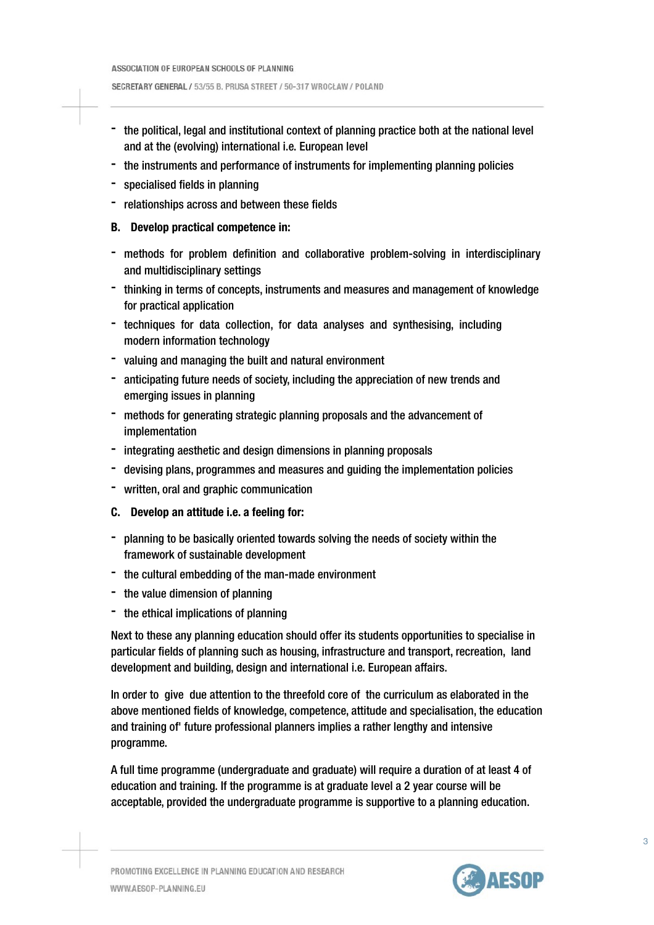SECRETARY GENERAL / 53/55 B. PRUSA STREET / 50-317 WROCŁAW / POLAND

- the political, legal and institutional context of planning practice both at the national level and at the (evolving) international i.e. European level
- the instruments and performance of instruments for implementing planning policies
- specialised fields in planning
- relationships across and between these fields

#### B. Develop practical competence in:

- methods for problem definition and collaborative problem-solving in interdisciplinary and multidisciplinary settings
- thinking in terms of concepts, instruments and measures and management of knowledge for practical application
- techniques for data collection, for data analyses and synthesising, including modern information technology
- valuing and managing the built and natural environment
- anticipating future needs of society, including the appreciation of new trends and emerging issues in planning
- methods for generating strategic planning proposals and the advancement of implementation
- integrating aesthetic and design dimensions in planning proposals
- devising plans, programmes and measures and guiding the implementation policies
- written, oral and graphic communication
- C. Develop an attitude i.e. a feeling for:
- planning to be basically oriented towards solving the needs of society within the framework of sustainable development
- the cultural embedding of the man-made environment
- the value dimension of planning
- the ethical implications of planning

Next to these any planning education should offer its students opportunities to specialise in particular fields of planning such as housing, infrastructure and transport, recreation, land development and building, design and international i.e. European affairs.

In order to give due attention to the threefold core of the curriculum as elaborated in the above mentioned fields of knowledge, competence, attitude and specialisation, the education and training of' future professional planners implies a rather lengthy and intensive programme.

A full time programme (undergraduate and graduate) will require a duration of at least 4 of education and training. If the programme is at graduate level a 2 year course will be acceptable, provided the undergraduate programme is supportive to a planning education.